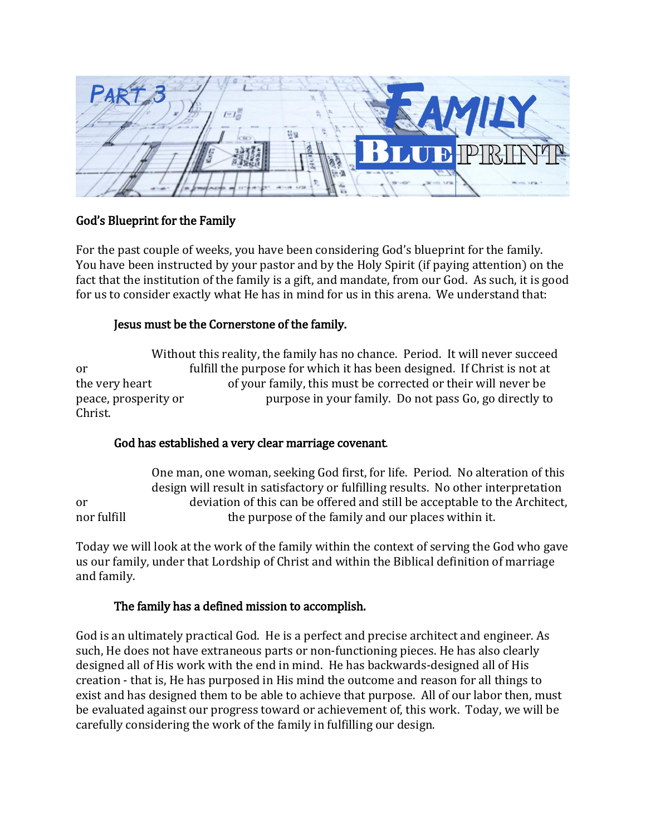

# God's Blueprint for the Family

For the past couple of weeks, you have been considering God's blueprint for the family. You have been instructed by your pastor and by the Holy Spirit (if paying attention) on the fact that the institution of the family is a gift, and mandate, from our God. As such, it is good for us to consider exactly what He has in mind for us in this arena. We understand that:

### Jesus must be the Cornerstone of the family.

Without this reality, the family has no chance. Period. It will never succeed or fulfill the purpose for which it has been designed. If Christ is not at the very heart of your family, this must be corrected or their will never be peace, prosperity or purpose in your family. Do not pass Go, go directly to Christ.

# God has established a very clear marriage covenant.

One man, one woman, seeking God first, for life. Period. No alteration of this design will result in satisfactory or fulfilling results. No other interpretation or deviation of this can be offered and still be acceptable to the Architect, nor fulfill the purpose of the family and our places within it.

Today we will look at the work of the family within the context of serving the God who gave us our family, under that Lordship of Christ and within the Biblical definition of marriage and family.

### The family has a defined mission to accomplish.

God is an ultimately practical God. He is a perfect and precise architect and engineer. As such, He does not have extraneous parts or non-functioning pieces. He has also clearly designed all of His work with the end in mind. He has backwards-designed all of His creation - that is, He has purposed in His mind the outcome and reason for all things to exist and has designed them to be able to achieve that purpose. All of our labor then, must be evaluated against our progress toward or achievement of, this work. Today, we will be carefully considering the work of the family in fulfilling our design.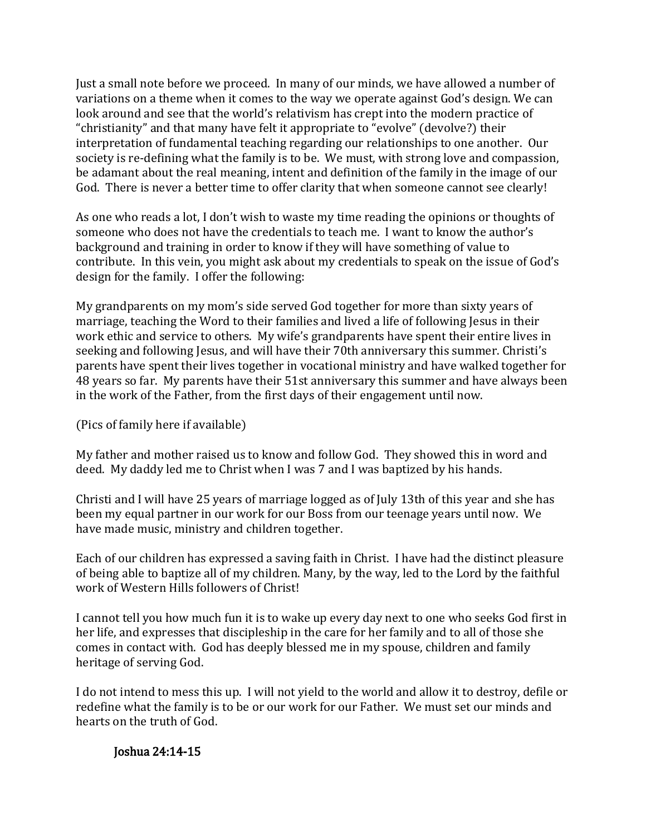Just a small note before we proceed. In many of our minds, we have allowed a number of variations on a theme when it comes to the way we operate against God's design. We can look around and see that the world's relativism has crept into the modern practice of "christianity" and that many have felt it appropriate to "evolve" (devolve?) their interpretation of fundamental teaching regarding our relationships to one another. Our society is re-defining what the family is to be. We must, with strong love and compassion, be adamant about the real meaning, intent and definition of the family in the image of our God. There is never a better time to offer clarity that when someone cannot see clearly!

As one who reads a lot, I don't wish to waste my time reading the opinions or thoughts of someone who does not have the credentials to teach me. I want to know the author's background and training in order to know if they will have something of value to contribute. In this vein, you might ask about my credentials to speak on the issue of God's design for the family. I offer the following:

My grandparents on my mom's side served God together for more than sixty years of marriage, teaching the Word to their families and lived a life of following Jesus in their work ethic and service to others. My wife's grandparents have spent their entire lives in seeking and following Jesus, and will have their 70th anniversary this summer. Christi's parents have spent their lives together in vocational ministry and have walked together for 48 years so far. My parents have their 51st anniversary this summer and have always been in the work of the Father, from the first days of their engagement until now.

(Pics of family here if available)

My father and mother raised us to know and follow God. They showed this in word and deed. My daddy led me to Christ when I was 7 and I was baptized by his hands.

Christi and I will have 25 years of marriage logged as of July 13th of this year and she has been my equal partner in our work for our Boss from our teenage years until now. We have made music, ministry and children together.

Each of our children has expressed a saving faith in Christ. I have had the distinct pleasure of being able to baptize all of my children. Many, by the way, led to the Lord by the faithful work of Western Hills followers of Christ!

I cannot tell you how much fun it is to wake up every day next to one who seeks God first in her life, and expresses that discipleship in the care for her family and to all of those she comes in contact with. God has deeply blessed me in my spouse, children and family heritage of serving God.

I do not intend to mess this up. I will not yield to the world and allow it to destroy, defile or redefine what the family is to be or our work for our Father. We must set our minds and hearts on the truth of God.

Joshua 24:14-15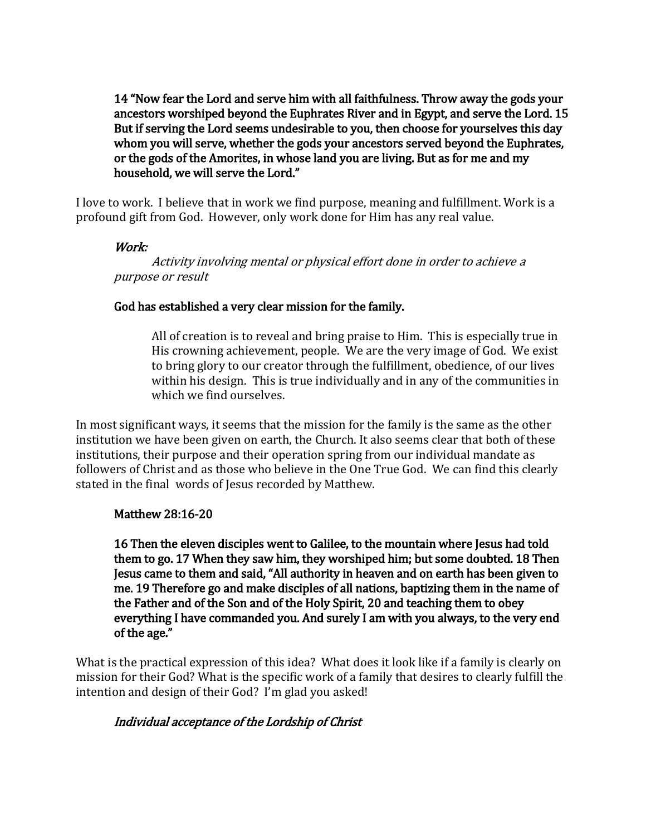14 "Now fear the Lord and serve him with all faithfulness. Throw away the gods your ancestors worshiped beyond the Euphrates River and in Egypt, and serve the Lord. 15 But if serving the Lord seems undesirable to you, then choose for yourselves this day whom you will serve, whether the gods your ancestors served beyond the Euphrates, or the gods of the Amorites, in whose land you are living. But as for me and my household, we will serve the Lord."

I love to work. I believe that in work we find purpose, meaning and fulfillment. Work is a profound gift from God. However, only work done for Him has any real value.

### Work:

 Activity involving mental or physical effort done in order to achieve <sup>a</sup> purpose or result

### God has established a very clear mission for the family.

All of creation is to reveal and bring praise to Him. This is especially true in His crowning achievement, people. We are the very image of God. We exist to bring glory to our creator through the fulfillment, obedience, of our lives within his design. This is true individually and in any of the communities in which we find ourselves.

In most significant ways, it seems that the mission for the family is the same as the other institution we have been given on earth, the Church. It also seems clear that both of these institutions, their purpose and their operation spring from our individual mandate as followers of Christ and as those who believe in the One True God. We can find this clearly stated in the final words of Jesus recorded by Matthew.

### Matthew 28:16-20

16 Then the eleven disciples went to Galilee, to the mountain where Jesus had told them to go. 17 When they saw him, they worshiped him; but some doubted. 18 Then Jesus came to them and said, "All authority in heaven and on earth has been given to me. 19 Therefore go and make disciples of all nations, baptizing them in the name of the Father and of the Son and of the Holy Spirit, 20 and teaching them to obey everything I have commanded you. And surely I am with you always, to the very end of the age."

What is the practical expression of this idea? What does it look like if a family is clearly on mission for their God? What is the specific work of a family that desires to clearly fulfill the intention and design of their God? I'm glad you asked!

# Individual acceptance of the Lordship of Christ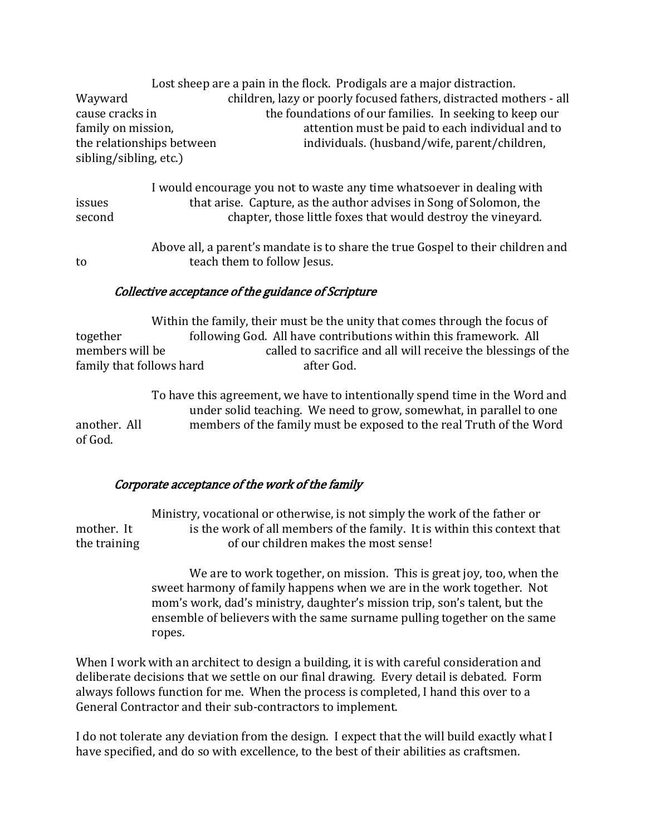Lost sheep are a pain in the flock. Prodigals are a major distraction. Wayward children, lazy or poorly focused fathers, distracted mothers - all cause cracks in the foundations of our families. In seeking to keep our family on mission, and the mattention must be paid to each individual and to the relationships between individuals. (husband/wife, parent/children, sibling/sibling, etc.)

I would encourage you not to waste any time whatsoever in dealing with issues that arise. Capture, as the author advises in Song of Solomon, the second chapter, those little foxes that would destroy the vineyard.

Above all, a parent's mandate is to share the true Gospel to their children and to teach them to follow Jesus.

### Collective acceptance of the guidance of Scripture

Within the family, their must be the unity that comes through the focus of together following God. All have contributions within this framework. All members will be called to sacrifice and all will receive the blessings of the family that follows hard after God.

To have this agreement, we have to intentionally spend time in the Word and under solid teaching. We need to grow, somewhat, in parallel to one another. All members of the family must be exposed to the real Truth of the Word of God.

# Corporate acceptance of the work of the family

Ministry, vocational or otherwise, is not simply the work of the father or mother. It is the work of all members of the family. It is within this context that the training of our children makes the most sense!

> We are to work together, on mission. This is great joy, too, when the sweet harmony of family happens when we are in the work together. Not mom's work, dad's ministry, daughter's mission trip, son's talent, but the ensemble of believers with the same surname pulling together on the same ropes.

When I work with an architect to design a building, it is with careful consideration and deliberate decisions that we settle on our final drawing. Every detail is debated. Form always follows function for me. When the process is completed, I hand this over to a General Contractor and their sub-contractors to implement.

I do not tolerate any deviation from the design. I expect that the will build exactly what I have specified, and do so with excellence, to the best of their abilities as craftsmen.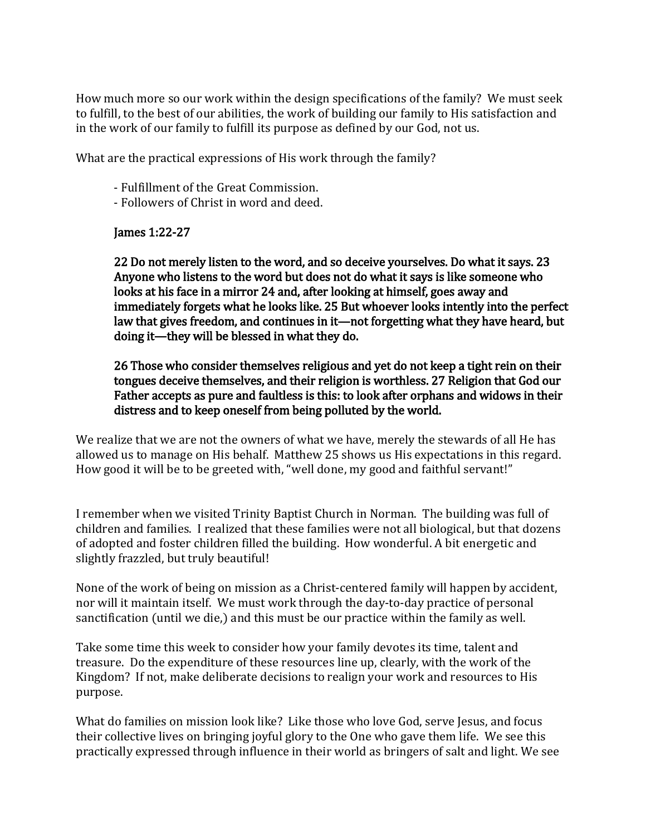How much more so our work within the design specifications of the family? We must seek to fulfill, to the best of our abilities, the work of building our family to His satisfaction and in the work of our family to fulfill its purpose as defined by our God, not us.

What are the practical expressions of His work through the family?

- Fulfillment of the Great Commission.
- Followers of Christ in word and deed.

#### James 1:22-27

22 Do not merely listen to the word, and so deceive yourselves. Do what it says. 23 Anyone who listens to the word but does not do what it says is like someone who looks at his face in a mirror 24 and, after looking at himself, goes away and immediately forgets what he looks like. 25 But whoever looks intently into the perfect law that gives freedom, and continues in it—not forgetting what they have heard, but doing it—they will be blessed in what they do.

26 Those who consider themselves religious and yet do not keep a tight rein on their tongues deceive themselves, and their religion is worthless. 27 Religion that God our Father accepts as pure and faultless is this: to look after orphans and widows in their distress and to keep oneself from being polluted by the world.

We realize that we are not the owners of what we have, merely the stewards of all He has allowed us to manage on His behalf. Matthew 25 shows us His expectations in this regard. How good it will be to be greeted with, "well done, my good and faithful servant!"

I remember when we visited Trinity Baptist Church in Norman. The building was full of children and families. I realized that these families were not all biological, but that dozens of adopted and foster children filled the building. How wonderful. A bit energetic and slightly frazzled, but truly beautiful!

None of the work of being on mission as a Christ-centered family will happen by accident, nor will it maintain itself. We must work through the day-to-day practice of personal sanctification (until we die,) and this must be our practice within the family as well.

Take some time this week to consider how your family devotes its time, talent and treasure. Do the expenditure of these resources line up, clearly, with the work of the Kingdom? If not, make deliberate decisions to realign your work and resources to His purpose.

What do families on mission look like? Like those who love God, serve Jesus, and focus their collective lives on bringing joyful glory to the One who gave them life. We see this practically expressed through influence in their world as bringers of salt and light. We see